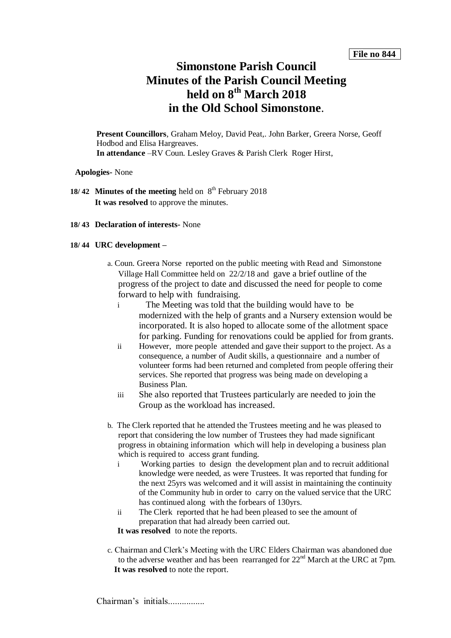# **Simonstone Parish Council Minutes of the Parish Council Meeting held on 8 th March 2018 in the Old School Simonstone**.

**Present Councillors**, Graham Meloy, David Peat,. John Barker, Greera Norse, Geoff Hodbod and Elisa Hargreaves. **In attendance** –RV Coun. Lesley Graves & Parish Clerk Roger Hirst,

**Apologies-** None

- 18/42 Minutes of the meeting held on 8<sup>th</sup> February 2018 **It was resolved** to approve the minutes.
- **18/ 43 Declaration of interests-** None

## **18/ 44 URC development –**

- a. Coun. Greera Norse reported on the public meeting with Read and Simonstone Village Hall Committee held on 22/2/18 and gave a brief outline of the progress of the project to date and discussed the need for people to come forward to help with fundraising.
	- i The Meeting was told that the building would have to be modernized with the help of grants and a Nursery extension would be incorporated. It is also hoped to allocate some of the allotment space for parking. Funding for renovations could be applied for from grants.
	- ii However, more people attended and gave their support to the project. As a consequence, a number of Audit skills, a questionnaire and a number of volunteer forms had been returned and completed from people offering their services. She reported that progress was being made on developing a Business Plan.
	- iii She also reported that Trustees particularly are needed to join the Group as the workload has increased.
- b. The Clerk reported that he attended the Trustees meeting and he was pleased to report that considering the low number of Trustees they had made significant progress in obtaining information which will help in developing a business plan which is required to access grant funding.
	- i Working parties to design the development plan and to recruit additional knowledge were needed, as were Trustees. It was reported that funding for the next 25yrs was welcomed and it will assist in maintaining the continuity of the Community hub in order to carry on the valued service that the URC has continued along with the forbears of 130yrs.
	- ii The Clerk reported that he had been pleased to see the amount of preparation that had already been carried out.

**It was resolved** to note the reports.

c. Chairman and Clerk's Meeting with the URC Elders Chairman was abandoned due to the adverse weather and has been rearranged for  $22<sup>nd</sup>$  March at the URC at 7pm. **It was resolved** to note the report.

Chairman's initials................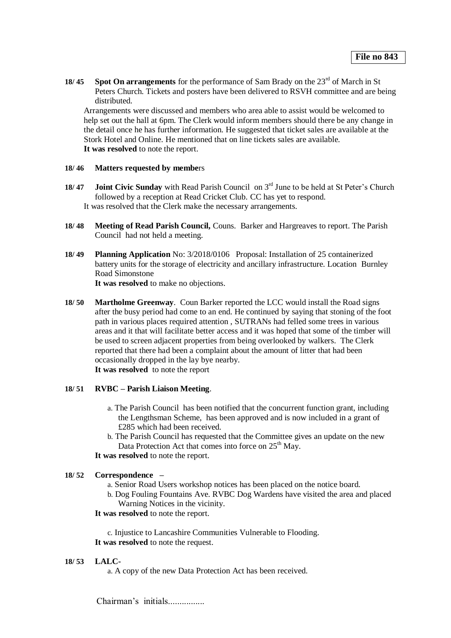**18/ 45 Spot On arrangements** for the performance of Sam Brady on the 23<sup>rd</sup> of March in St Peters Church. Tickets and posters have been delivered to RSVH committee and are being distributed.

Arrangements were discussed and members who area able to assist would be welcomed to help set out the hall at 6pm. The Clerk would inform members should there be any change in the detail once he has further information. He suggested that ticket sales are available at the Stork Hotel and Online. He mentioned that on line tickets sales are available. **It was resolved** to note the report.

### **18/ 46 Matters requested by membe**rs

- 18/47 **Joint Civic Sunday** with Read Parish Council on 3<sup>rd</sup> June to be held at St Peter's Church followed by a reception at Read Cricket Club. CC has yet to respond. It was resolved that the Clerk make the necessary arrangements.
- **18/ 48 Meeting of Read Parish Council,** Couns. Barker and Hargreaves to report. The Parish Council had not held a meeting.
- **18/ 49 Planning Application** No: 3/2018/0106 Proposal: Installation of 25 containerized battery units for the storage of electricity and ancillary infrastructure. Location Burnley Road Simonstone **It was resolved** to make no objections.
- **18/ 50 Martholme Greenway**. Coun Barker reported the LCC would install the Road signs after the busy period had come to an end. He continued by saying that stoning of the foot path in various places required attention , SUTRANs had felled some trees in various areas and it that will facilitate better access and it was hoped that some of the timber will be used to screen adjacent properties from being overlooked by walkers. The Clerk reported that there had been a complaint about the amount of litter that had been occasionally dropped in the lay bye nearby. **It was resolved** to note the report

### **18/ 51 RVBC – Parish Liaison Meeting**.

- a. The Parish Council has been notified that the concurrent function grant, including the Lengthsman Scheme, has been approved and is now included in a grant of £285 which had been received.
- b. The Parish Council has requested that the Committee gives an update on the new Data Protection Act that comes into force on  $25<sup>th</sup>$  May.

**It was resolved** to note the report.

## **18/ 52 Correspondence –**

- a. Senior Road Users workshop notices has been placed on the notice board.
- b. Dog Fouling Fountains Ave. RVBC Dog Wardens have visited the area and placed Warning Notices in the vicinity.
- **It was resolved** to note the report.

c. Injustice to Lancashire Communities Vulnerable to Flooding. **It was resolved** to note the request.

### **18/ 53 LALC-**

a. A copy of the new Data Protection Act has been received.

Chairman's initials................